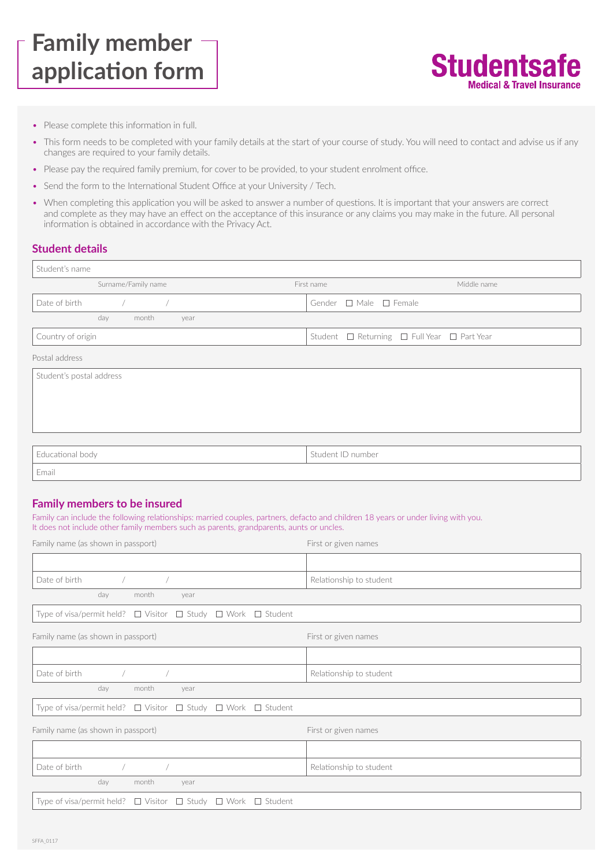# **Family member application form**



- Please complete this information in full.
- This form needs to be completed with your family details at the start of your course of study. You will need to contact and advise us if any changes are required to your family details.
- Please pay the required family premium, for cover to be provided, to your student enrolment office.
- Send the form to the International Student Office at your University / Tech.
- When completing this application you will be asked to answer a number of questions. It is important that your answers are correct and complete as they may have an effect on the acceptance of this insurance or any claims you may make in the future. All personal information is obtained in accordance with the Privacy Act.

### **Student details**

| Student's name                  |                                             |
|---------------------------------|---------------------------------------------|
| Surname/Family name             | Middle name<br>First name                   |
| Date of birth<br>$\overline{1}$ | Gender □ Male □ Female                      |
| day<br>month<br>year            |                                             |
| Country of origin               | Student □ Returning □ Full Year □ Part Year |
| Postal address                  |                                             |
| Student's postal address        |                                             |
|                                 |                                             |
|                                 |                                             |
|                                 |                                             |
|                                 |                                             |
| Educational body                | Student ID number                           |

Email

### **Family members to be insured**

Family can include the following relationships: married couples, partners, defacto and children 18 years or under living with you. It does not include other family members such as parents, grandparents, aunts or uncles.

| Family name (as shown in passport)                                                  | First or given names    |
|-------------------------------------------------------------------------------------|-------------------------|
|                                                                                     |                         |
| Date of birth<br>$\overline{1}$<br>$\sqrt{2}$                                       | Relationship to student |
| day<br>month<br>year                                                                |                         |
| Type of visa/permit held? $\Box$ Visitor $\Box$ Study $\Box$ Work $\Box$ Student    |                         |
| Family name (as shown in passport)                                                  | First or given names    |
|                                                                                     |                         |
| Date of birth<br>$\sqrt{2}$                                                         | Relationship to student |
| day<br>month<br>year                                                                |                         |
| Type of visa/permit held? $\Box$ Visitor $\Box$ Study $\Box$ Work $\Box$ Student    |                         |
| Family name (as shown in passport)                                                  | First or given names    |
|                                                                                     |                         |
| Date of birth<br>$\sqrt{2}$                                                         | Relationship to student |
| day<br>month<br>year                                                                |                         |
| $\Box$ Study $\Box$ Work $\Box$ Student<br>Type of visa/permit held? $\Box$ Visitor |                         |